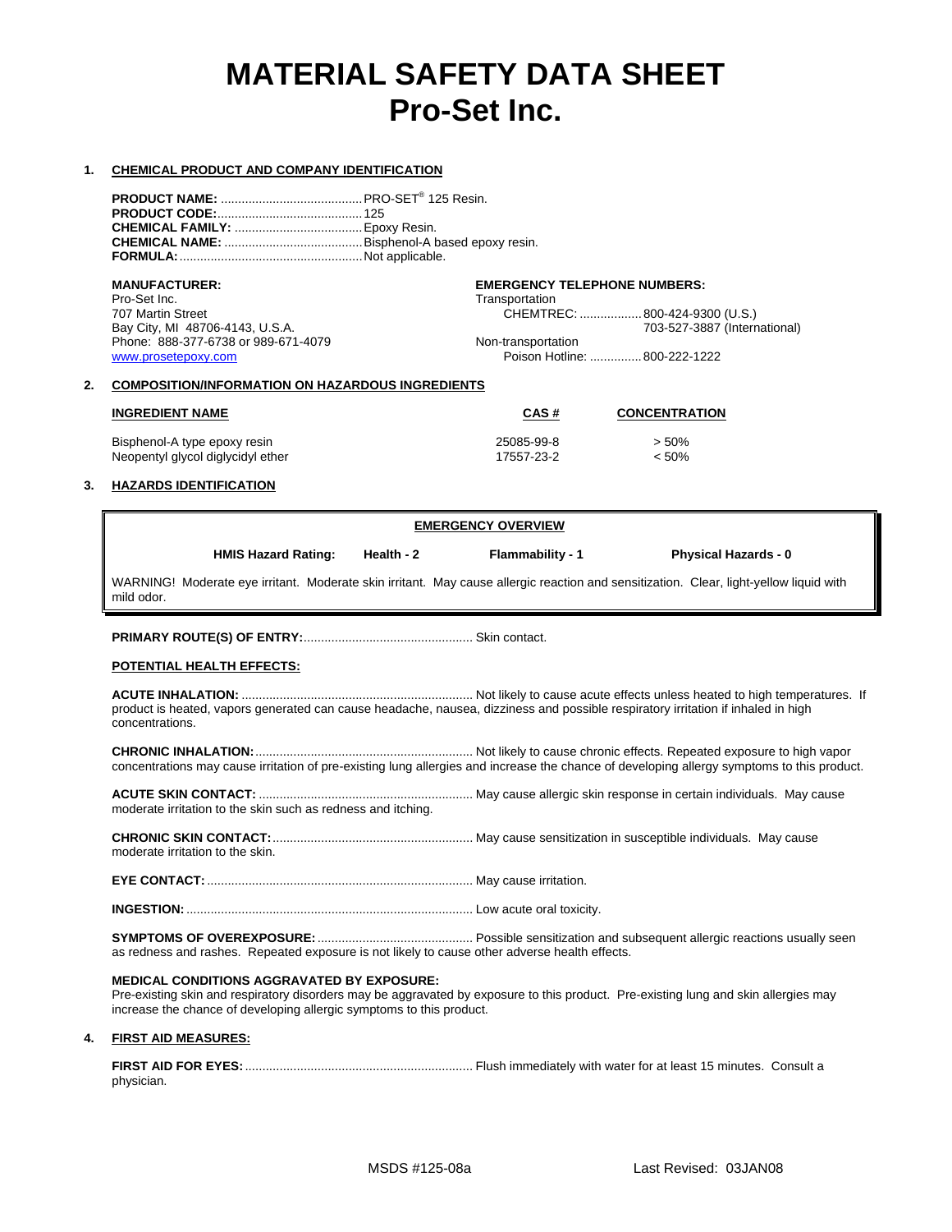# **MATERIAL SAFETY DATA SHEET Pro-Set Inc.**

# **1. CHEMICAL PRODUCT AND COMPANY IDENTIFICATION**

**MANUFACTURER: EMERGENCY TELEPHONE NUMBERS:** Pro-Set Inc. **Transportation**<br>
707 Martin Street **Access 2006** CHEMTRE CHEMTREC: ...................800-424-9300 (U.S.) Bay City, MI 48706-4143, U.S.A. 703-527-3887 (International)<br>
Phone: 888-377-6738 or 989-671-4079 **703-671 Mon-transportation** Phone: 888-377-6738 or 989-671-4079<br>www.prosetepoxy.com Poison Hotline: ............... 800-222-1222

# **2. COMPOSITION/INFORMATION ON HAZARDOUS INGREDIENTS**

| <b>INGREDIENT NAME</b>            | CAS#       | <b>CONCENTRATION</b> |
|-----------------------------------|------------|----------------------|
| Bisphenol-A type epoxy resin      | 25085-99-8 | $> 50\%$             |
| Neopentyl glycol diglycidyl ether | 17557-23-2 | $< 50\%$             |

# **3. HAZARDS IDENTIFICATION**

|                                                                                                                           | <b>EMERGENCY OVERVIEW</b>  |              |                                                                                               |                                                                                                                                            |
|---------------------------------------------------------------------------------------------------------------------------|----------------------------|--------------|-----------------------------------------------------------------------------------------------|--------------------------------------------------------------------------------------------------------------------------------------------|
|                                                                                                                           | <b>HMIS Hazard Rating:</b> | Health - $2$ | <b>Flammability - 1</b>                                                                       | <b>Physical Hazards - 0</b>                                                                                                                |
| mild odor.                                                                                                                |                            |              |                                                                                               | WARNING! Moderate eye irritant. Moderate skin irritant. May cause allergic reaction and sensitization. Clear, light-yellow liquid with     |
|                                                                                                                           |                            |              |                                                                                               |                                                                                                                                            |
| POTENTIAL HEALTH EFFECTS:                                                                                                 |                            |              |                                                                                               |                                                                                                                                            |
| concentrations.                                                                                                           |                            |              |                                                                                               | product is heated, vapors generated can cause headache, nausea, dizziness and possible respiratory irritation if inhaled in high           |
|                                                                                                                           |                            |              |                                                                                               | concentrations may cause irritation of pre-existing lung allergies and increase the chance of developing allergy symptoms to this product. |
| moderate irritation to the skin such as redness and itching.                                                              |                            |              |                                                                                               |                                                                                                                                            |
| moderate irritation to the skin.                                                                                          |                            |              |                                                                                               |                                                                                                                                            |
|                                                                                                                           |                            |              |                                                                                               |                                                                                                                                            |
|                                                                                                                           |                            |              |                                                                                               |                                                                                                                                            |
|                                                                                                                           |                            |              | as redness and rashes. Repeated exposure is not likely to cause other adverse health effects. |                                                                                                                                            |
| <b>MEDICAL CONDITIONS AGGRAVATED BY EXPOSURE:</b><br>increase the chance of developing allergic symptoms to this product. |                            |              |                                                                                               | Pre-existing skin and respiratory disorders may be aggravated by exposure to this product. Pre-existing lung and skin allergies may        |

# **4. FIRST AID MEASURES:**

**FIRST AID FOR EYES:**.................................................................. Flush immediately with water for at least 15 minutes. Consult a physician.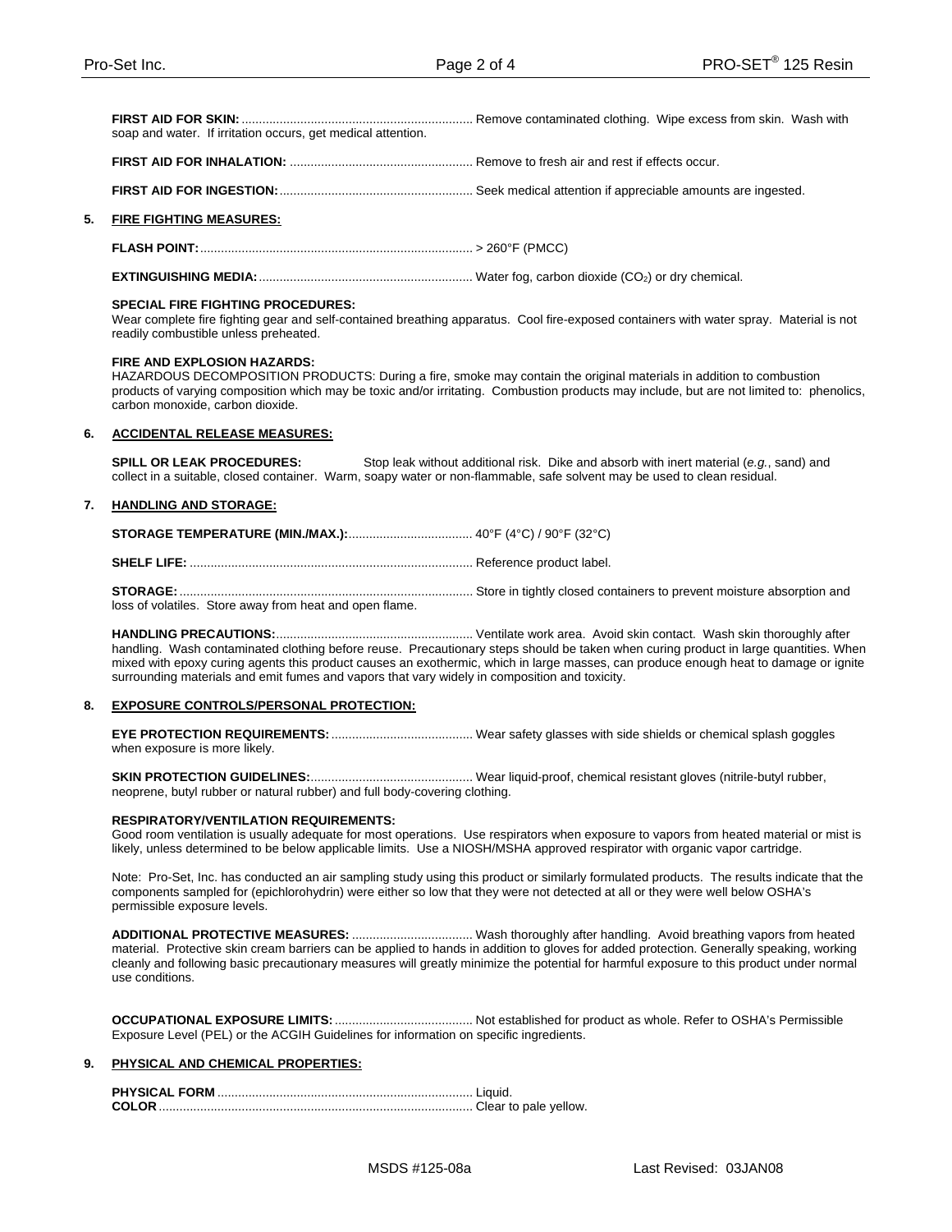**FIRST AID FOR SKIN:**................................................................... Remove contaminated clothing. Wipe excess from skin. Wash with soap and water. If irritation occurs, get medical attention.

**FIRST AID FOR INHALATION:** ..................................................... Remove to fresh air and rest if effects occur.

**FIRST AID FOR INGESTION:**........................................................ Seek medical attention if appreciable amounts are ingested.

# **5. FIRE FIGHTING MEASURES:**

**FLASH POINT:**............................................................................... > 260°F (PMCC)

**EXTINGUISHING MEDIA:**.............................................................. Water fog, carbon dioxide (CO2) or dry chemical.

#### **SPECIAL FIRE FIGHTING PROCEDURES:**

Wear complete fire fighting gear and self-contained breathing apparatus. Cool fire-exposed containers with water spray. Material is not readily combustible unless preheated.

#### **FIRE AND EXPLOSION HAZARDS:**

HAZARDOUS DECOMPOSITION PRODUCTS: During a fire, smoke may contain the original materials in addition to combustion products of varying composition which may be toxic and/or irritating. Combustion products may include, but are not limited to: phenolics, carbon monoxide, carbon dioxide.

# **6. ACCIDENTAL RELEASE MEASURES:**

**SPILL OR LEAK PROCEDURES:** Stop leak without additional risk. Dike and absorb with inert material (e.g., sand) and collect in a suitable, closed container. Warm, soapy water or non-flammable, safe solvent may be used to clean residual.

#### **7. HANDLING AND STORAGE:**

**STORAGE:**..................................................................................... Store in tightly closed containers to prevent moisture absorption and loss of volatiles. Store away from heat and open flame.

**HANDLING PRECAUTIONS:**......................................................... Ventilate work area. Avoid skin contact. Wash skin thoroughly after handling. Wash contaminated clothing before reuse. Precautionary steps should be taken when curing product in large quantities. When mixed with epoxy curing agents this product causes an exothermic, which in large masses, can produce enough heat to damage or ignite surrounding materials and emit fumes and vapors that vary widely in composition and toxicity.

# **8. EXPOSURE CONTROLS/PERSONAL PROTECTION:**

**EYE PROTECTION REQUIREMENTS:**......................................... Wear safety glasses with side shields or chemical splash goggles when exposure is more likely.

**SKIN PROTECTION GUIDELINES:**............................................... Wear liquid-proof, chemical resistant gloves (nitrile-butyl rubber, neoprene, butyl rubber or natural rubber) and full body-covering clothing.

#### **RESPIRATORY/VENTILATION REQUIREMENTS:**

Good room ventilation is usually adequate for most operations. Use respirators when exposure to vapors from heated material or mist is likely, unless determined to be below applicable limits. Use a NIOSH/MSHA approved respirator with organic vapor cartridge.

Note: Pro-Set, Inc. has conducted an air sampling study using this product or similarly formulated products. The results indicate that the components sampled for (epichlorohydrin) were either so low that they were not detected at all or they were well below OSHA's permissible exposure levels.

**ADDITIONAL PROTECTIVE MEASURES:** ................................... Wash thoroughly after handling. Avoid breathing vapors from heated material. Protective skin cream barriers can be applied to hands in addition to gloves for added protection. Generally speaking, working cleanly and following basic precautionary measures will greatly minimize the potential for harmful exposure to this product under normal use conditions.

**OCCUPATIONAL EXPOSURE LIMITS:**........................................ Not established for product as whole. Refer to OSHA's Permissible Exposure Level (PEL) or the ACGIH Guidelines for information on specific ingredients.

# **9. PHYSICAL AND CHEMICAL PROPERTIES:**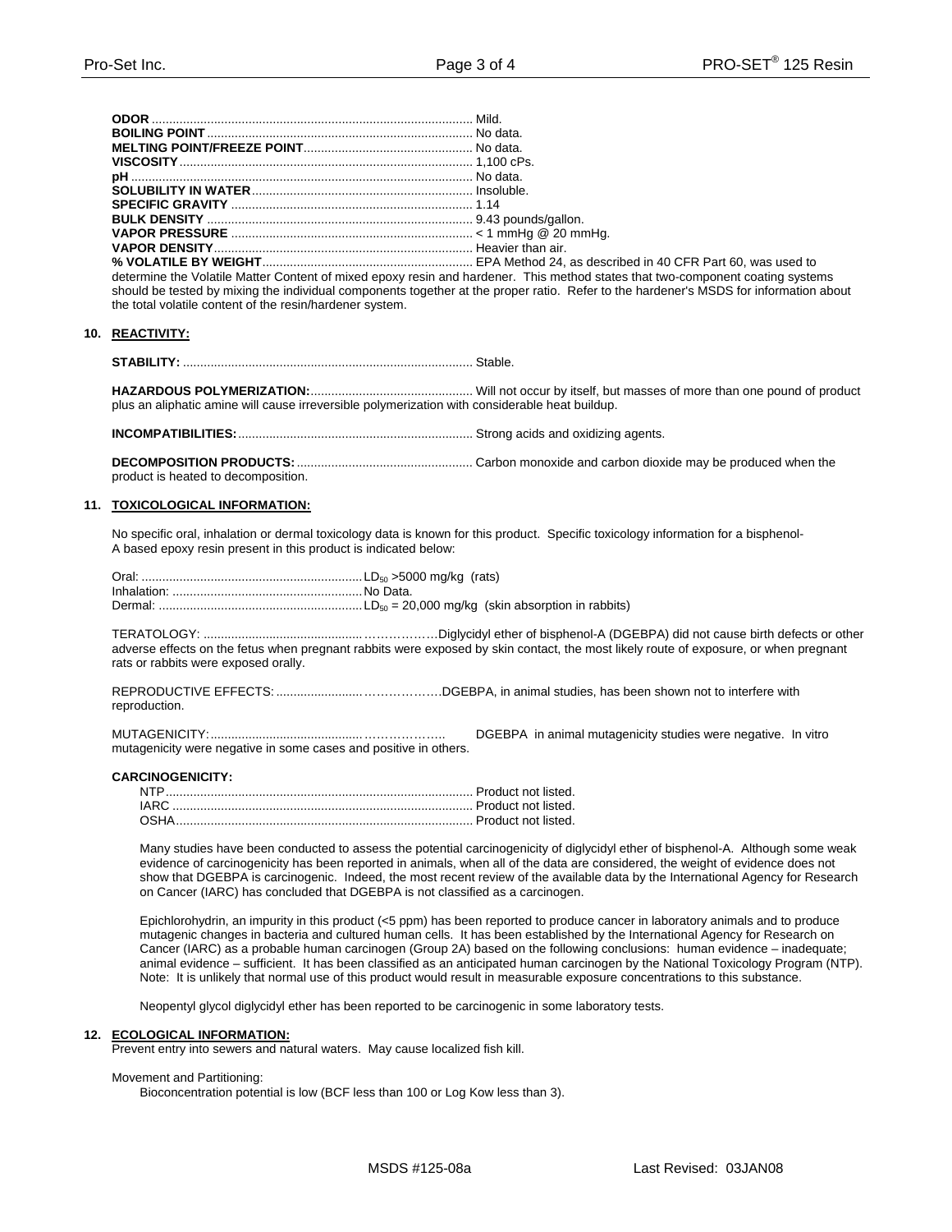| $\mathcal{L}(\mathcal{L}(\mathcal{L}(\mathcal{L}(\mathcal{L}(\mathcal{L}(\mathcal{L}(\mathcal{L}(\mathcal{L}(\mathcal{L}(\mathcal{L}(\mathcal{L}(\mathcal{L}(\mathcal{L}(\mathcal{L}(\mathcal{L}(\mathcal{L}(\mathcal{L}(\mathcal{L}(\mathcal{L}(\mathcal{L}(\mathcal{L}(\mathcal{L}(\mathcal{L}(\mathcal{L}(\mathcal{L}(\mathcal{L}(\mathcal{L}(\mathcal{L}(\mathcal{L}(\mathcal{L}(\mathcal{L}(\mathcal{L}(\mathcal{L}(\mathcal{L}(\mathcal{L}(\mathcal{$ |  |
|-------------------------------------------------------------------------------------------------------------------------------------------------------------------------------------------------------------------------------------------------------------------------------------------------------------------------------------------------------------------------------------------------------------------------------------------------------------|--|

CFR Part 60, was used to determine the Volatile Matter Content of mixed epoxy resin and hardener. This method states that two-component coating systems should be tested by mixing the individual components together at the proper ratio. Refer to the hardener's MSDS for information about the total volatile content of the resin/hardener system.

# 10. REACTIVITY:

plus an aliphatic amine will cause irreversible polymerization with considerable heat buildup.

product is heated to decomposition.

# 11. TOXICOLOGICAL INFORMATION:

No specific oral, inhalation or dermal toxicology data is known for this product. Specific toxicology information for a bisphenol-A based epoxy resin present in this product is indicated below:

adverse effects on the fetus when pregnant rabbits were exposed by skin contact, the most likely route of exposure, or when pregnant rats or rabbits were exposed orally.

reproduction.

DGEBPA in animal mutagenicity studies were negative. In vitro mutagenicity were negative in some cases and positive in others.

# **CARCINOGENICITY:**

Many studies have been conducted to assess the potential carcinogenicity of diglycidyl ether of bisphenol-A. Although some weak evidence of carcinogenicity has been reported in animals, when all of the data are considered, the weight of evidence does not show that DGEBPA is carcinogenic. Indeed, the most recent review of the available data by the International Agency for Research on Cancer (IARC) has concluded that DGEBPA is not classified as a carcinogen.

Epichlorohydrin, an impurity in this product (<5 ppm) has been reported to produce cancer in laboratory animals and to produce mutagenic changes in bacteria and cultured human cells. It has been established by the International Agency for Research on Cancer (IARC) as a probable human carcinogen (Group 2A) based on the following conclusions: human evidence - inadequate; animal evidence - sufficient. It has been classified as an anticipated human carcinogen by the National Toxicology Program (NTP). Note: It is unlikely that normal use of this product would result in measurable exposure concentrations to this substance.

Neopentyl glycol diglycidyl ether has been reported to be carcinogenic in some laboratory tests.

#### **ECOLOGICAL INFORMATION:**  $12.$

Prevent entry into sewers and natural waters. May cause localized fish kill.

# Movement and Partitioning:

Bioconcentration potential is low (BCF less than 100 or Log Kow less than 3).